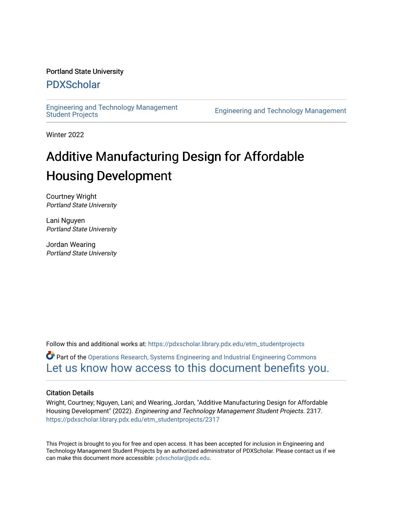#### Portland State University

# [PDXScholar](https://pdxscholar.library.pdx.edu/)

[Engineering and Technology Management](https://pdxscholar.library.pdx.edu/etm_studentprojects) 

Engineering and Technology Management

Winter 2022

# Additive Manufacturing Design for Affordable Housing Development

Courtney Wright Portland State University

Lani Nguyen Portland State University

Jordan Wearing Portland State University

Follow this and additional works at: [https://pdxscholar.library.pdx.edu/etm\\_studentprojects](https://pdxscholar.library.pdx.edu/etm_studentprojects?utm_source=pdxscholar.library.pdx.edu%2Fetm_studentprojects%2F2317&utm_medium=PDF&utm_campaign=PDFCoverPages) 

Part of the [Operations Research, Systems Engineering and Industrial Engineering Commons](http://network.bepress.com/hgg/discipline/305?utm_source=pdxscholar.library.pdx.edu%2Fetm_studentprojects%2F2317&utm_medium=PDF&utm_campaign=PDFCoverPages) [Let us know how access to this document benefits you.](http://library.pdx.edu/services/pdxscholar-services/pdxscholar-feedback/?ref=https://pdxscholar.library.pdx.edu/etm_studentprojects/2317) 

#### Citation Details

Wright, Courtney; Nguyen, Lani; and Wearing, Jordan, "Additive Manufacturing Design for Affordable Housing Development" (2022). Engineering and Technology Management Student Projects. 2317. [https://pdxscholar.library.pdx.edu/etm\\_studentprojects/2317](https://pdxscholar.library.pdx.edu/etm_studentprojects/2317?utm_source=pdxscholar.library.pdx.edu%2Fetm_studentprojects%2F2317&utm_medium=PDF&utm_campaign=PDFCoverPages)

This Project is brought to you for free and open access. It has been accepted for inclusion in Engineering and Technology Management Student Projects by an authorized administrator of PDXScholar. Please contact us if we can make this document more accessible: [pdxscholar@pdx.edu.](mailto:pdxscholar@pdx.edu)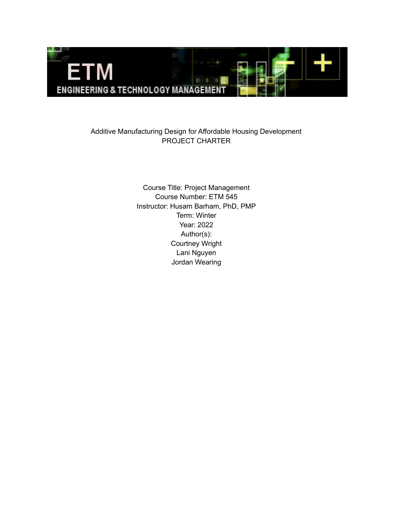

## Additive Manufacturing Design for Affordable Housing Development PROJECT CHARTER

 Course Title: Project Management Course Number: ETM 545 Instructor: Husam Barham, PhD, PMP Term: Winter Year: 2022 [Courtney](mailto:cwri2@pdx.edu) Wright Lani Nguyen Jordan [Wearing](mailto:wearing@pdx.edu)Author(s):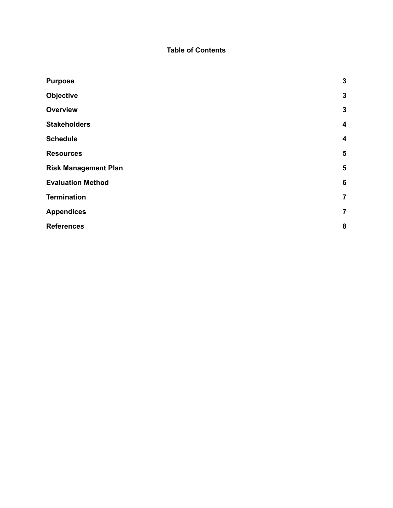#### **Table of Contents**

| <b>Objective</b>            | $\mathbf{3}$     |
|-----------------------------|------------------|
|                             |                  |
| <b>Overview</b>             | $\mathbf{3}$     |
| <b>Stakeholders</b>         | 4                |
| <b>Schedule</b>             | $\boldsymbol{4}$ |
| <b>Resources</b>            | 5                |
| <b>Risk Management Plan</b> | 5                |
| <b>Evaluation Method</b>    | $6\phantom{1}6$  |
| <b>Termination</b>          | $\overline{7}$   |
| <b>Appendices</b>           | $\overline{7}$   |
| <b>References</b>           | 8                |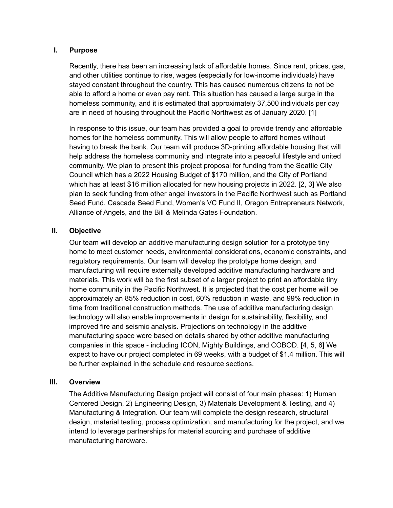#### <span id="page-3-0"></span>**I. Purpose**

 Recently, there has been an increasing lack of affordable homes. Since rent, prices, gas, and other utilities continue to rise, wages (especially for low-income individuals) have stayed constant throughout the country. This has caused numerous citizens to not be able to afford a home or even pay rent. This situation has caused a large surge in the homeless community, and it is estimated that approximately 37,500 individuals per day are in need of housing throughout the Pacific Northwest as of January 2020. [1]

 In response to this issue, our team has provided a goal to provide trendy and affordable homes for the homeless community. This will allow people to afford homes without having to break the bank. Our team will produce 3D-printing affordable housing that will help address the homeless community and integrate into a peaceful lifestyle and united community. We plan to present this project proposal for funding from the Seattle City Council which has a 2022 Housing Budget of \$170 million, and the City of Portland which has at least \$16 million allocated for new housing projects in 2022. [2, 3] We also plan to seek funding from other angel investors in the Pacific Northwest such as Portland Seed Fund, Cascade Seed Fund, Women's VC Fund II, Oregon Entrepreneurs Network, Alliance of Angels, and the Bill & Melinda Gates Foundation.

#### <span id="page-3-1"></span>**II. Objective**

 Our team will develop an additive manufacturing design solution for a prototype tiny home to meet customer needs, environmental considerations, economic constraints, and regulatory requirements. Our team will develop the prototype home design, and manufacturing will require externally developed additive manufacturing hardware and materials. This work will be the first subset of a larger project to print an affordable tiny home community in the Pacific Northwest. It is projected that the cost per home will be approximately an 85% reduction in cost, 60% reduction in waste, and 99% reduction in time from traditional construction methods. The use of additive manufacturing design technology will also enable improvements in design for sustainability, flexibility, and improved fire and seismic analysis. Projections on technology in the additive manufacturing space were based on details shared by other additive manufacturing companies in this space - including ICON, Mighty Buildings, and COBOD. [4, 5, 6] We expect to have our project completed in 69 weeks, with a budget of \$1.4 million. This will be further explained in the schedule and resource sections.

#### <span id="page-3-2"></span>**III. Overview**

 The Additive Manufacturing Design project will consist of four main phases: 1) Human Centered Design, 2) Engineering Design, 3) Materials Development & Testing, and 4) Manufacturing & Integration. Our team will complete the design research, structural design, material testing, process optimization, and manufacturing for the project, and we intend to leverage partnerships for material sourcing and purchase of additive manufacturing hardware.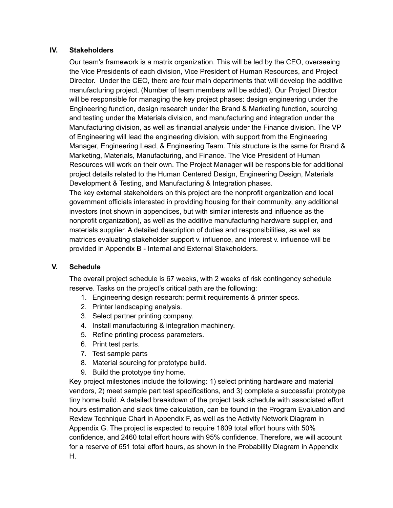#### <span id="page-4-0"></span>**IV. Stakeholders**

 Our team's framework is a matrix organization. This will be led by the CEO, overseeing the Vice Presidents of each division, Vice President of Human Resources, and Project Director. Under the CEO, there are four main departments that will develop the additive manufacturing project. (Number of team members will be added). Our Project Director will be responsible for managing the key project phases: design engineering under the Engineering function, design research under the Brand & Marketing function, sourcing and testing under the Materials division, and manufacturing and integration under the Manufacturing division, as well as financial analysis under the Finance division. The VP of Engineering will lead the engineering division, with support from the Engineering Manager, Engineering Lead, & Engineering Team. This structure is the same for Brand & Marketing, Materials, Manufacturing, and Finance. The Vice President of Human Resources will work on their own. The Project Manager will be responsible for additional project details related to the Human Centered Design, Engineering Design, Materials Development & Testing, and Manufacturing & Integration phases.

 The key external stakeholders on this project are the nonprofit organization and local government officials interested in providing housing for their community, any additional investors (not shown in appendices, but with similar interests and influence as the nonprofit organization), as well as the additive manufacturing hardware supplier, and materials supplier. A detailed description of duties and responsibilities, as well as matrices evaluating stakeholder support v. influence, and interest v. influence will be provided in Appendix B - Internal and External Stakeholders.

#### <span id="page-4-1"></span>**V. Schedule**

 The overall project schedule is 67 weeks, with 2 weeks of risk contingency schedule reserve. Tasks on the project's critical path are the following:

- 1. Engineering design research: permit requirements & printer specs.
- 2. Printer landscaping analysis.
- 3. Select partner printing company.
- 4. Install manufacturing & integration machinery.
- 5. Refine printing process parameters.
- 6. Print test parts.
- 7. Test sample parts
- 8. Material sourcing for prototype build.
- 9. Build the prototype tiny home.

 Key project milestones include the following: 1) select printing hardware and material vendors, 2) meet sample part test specifications, and 3) complete a successful prototype tiny home build. A detailed breakdown of the project task schedule with associated effort hours estimation and slack time calculation, can be found in the Program Evaluation and Review Technique Chart in Appendix F, as well as the Activity Network Diagram in Appendix G. The project is expected to require 1809 total effort hours with 50% confidence, and 2460 total effort hours with 95% confidence. Therefore, we will account for a reserve of 651 total effort hours, as shown in the Probability Diagram in Appendix H.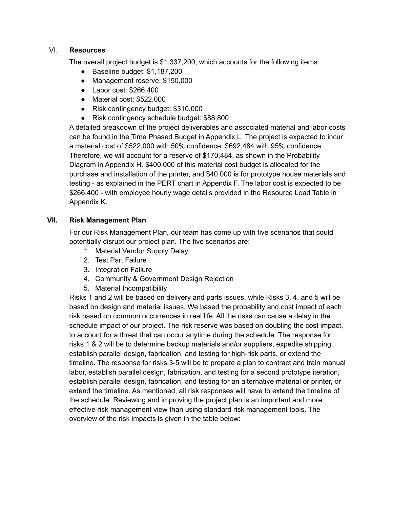#### <span id="page-5-0"></span>VI. **Resources**

The overall project budget is \$1,337,200, which accounts for the following items:

- Baseline budget: \$1,187,200
- Management reserve: \$150,000
- Labor cost: \$266,400
- Material cost: \$522,000
- Risk contingency budget: \$310,000
- Risk contingency schedule budget: \$88,800

 A detailed breakdown of the project deliverables and associated material and labor costs can be found in the Time Phased Budget in Appendix L. The project is expected to incur a material cost of \$522,000 with 50% confidence, \$692,484 with 95% confidence. Therefore, we will account for a reserve of \$170,484, as shown in the Probability Diagram in Appendix H. \$400,000 of this material cost budget is allocated for the purchase and installation of the printer, and \$40,000 is for prototype house materials and testing - as explained in the PERT chart in Appendix F. The labor cost is expected to be \$266,400 - with employee hourly wage details provided in the Resource Load Table in Appendix K.

#### <span id="page-5-1"></span>VII. **VII. Risk Management Plan**

 For our Risk Management Plan, our team has come up with five scenarios that could potentially disrupt our project plan. The five scenarios are:

- 1. Material Vendor Supply Delay
- 2. Test Part Failure
- 3. Integration Failure
- 4. Community & Government Design Rejection
- 5. Material Incompatibility

 Risks 1 and 2 will be based on delivery and parts issues, while Risks 3, 4, and 5 will be based on design and material issues. We based the probability and cost impact of each risk based on common occurrences in real life. All the risks can cause a delay in the schedule impact of our project. The risk reserve was based on doubling the cost impact, to account for a threat that can occur anytime during the schedule. The response for risks 1 & 2 will be to determine backup materials and/or suppliers, expedite shipping, establish parallel design, fabrication, and testing for high-risk parts, or extend the timeline. The response for risks 3-5 will be to prepare a plan to contract and train manual labor, establish parallel design, fabrication, and testing for a second prototype iteration, establish parallel design, fabrication, and testing for an alternative material or printer, or extend the timeline. As mentioned, all risk responses will have to extend the timeline of the schedule. Reviewing and improving the project plan is an important and more effective risk management view than using standard risk management tools. The overview of the risk impacts is given in the table below: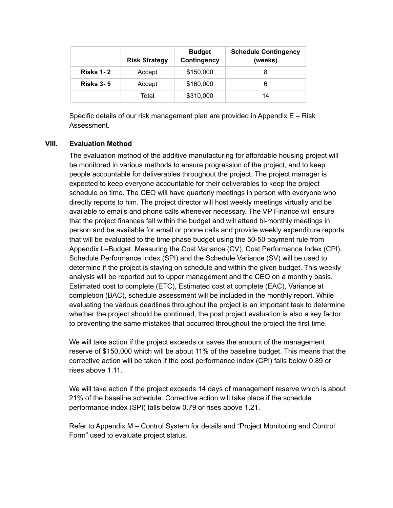|                  | <b>Risk Strategy</b> | <b>Budget</b><br>Contingency | <b>Schedule Contingency</b><br>(weeks) |
|------------------|----------------------|------------------------------|----------------------------------------|
| <b>Risks 1-2</b> | Accept               | \$150,000                    | 8                                      |
| <b>Risks 3-5</b> | Accept               | \$160,000                    | 6                                      |
|                  | Total                | \$310,000                    | 14                                     |

 Specific details of our risk management plan are provided in Appendix E – Risk Assessment.

#### <span id="page-6-0"></span>**VIII. Evaluation Method**

 The evaluation method of the additive manufacturing for affordable housing project will be monitored in various methods to ensure progression of the project, and to keep people accountable for deliverables throughout the project. The project manager is expected to keep everyone accountable for their deliverables to keep the project schedule on time. The CEO will have quarterly meetings in person with everyone who directly reports to him. The project director will host weekly meetings virtually and be available to emails and phone calls whenever necessary. The VP Finance will ensure that the project finances fall within the budget and will attend bi-monthly meetings in person and be available for email or phone calls and provide weekly expenditure reports that will be evaluated to the time phase budget using the 50-50 payment rule from Appendix L–Budget. Measuring the Cost Variance (CV), Cost Performance Index (CPI), Schedule Performance Index (SPI) and the Schedule Variance (SV) will be used to determine if the project is staying on schedule and within the given budget. This weekly analysis will be reported out to upper management and the CEO on a monthly basis. Estimated cost to complete (ETC), Estimated cost at complete (EAC), Variance at completion (BAC), schedule assessment will be included in the monthly report. While evaluating the various deadlines throughout the project is an important task to determine whether the project should be continued, the post project evaluation is also a key factor to preventing the same mistakes that occurred throughout the project the first time.

 We will take action if the project exceeds or saves the amount of the management reserve of \$150,000 which will be about 11% of the baseline budget. This means that the corrective action will be taken if the cost performance index (CPI) falls below 0.89 or rises above 1.11.

 We will take action if the project exceeds 14 days of management reserve which is about 21% of the baseline schedule. Corrective action will take place if the schedule performance index (SPI) falls below 0.79 or rises above 1.21.

 Refer to Appendix M – Control System for details and "Project Monitoring and Control Form" used to evaluate project status.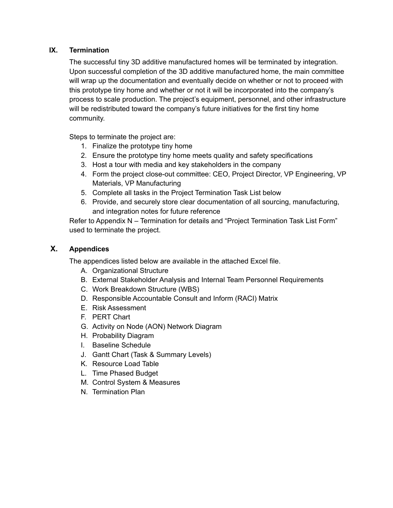#### <span id="page-7-0"></span>**IX. Termination**

 The successful tiny 3D additive manufactured homes will be terminated by integration. Upon successful completion of the 3D additive manufactured home, the main committee will wrap up the documentation and eventually decide on whether or not to proceed with this prototype tiny home and whether or not it will be incorporated into the company's process to scale production. The project's equipment, personnel, and other infrastructure will be redistributed toward the company's future initiatives for the first tiny home community.

Steps to terminate the project are:

- 1. Finalize the prototype tiny home
- 2. Ensure the prototype tiny home meets quality and safety specifications
- 3. Host a tour with media and key stakeholders in the company
- 4. Form the project close-out committee: CEO, Project Director, VP Engineering, VP Materials, VP Manufacturing
- 5. Complete all tasks in the Project Termination Task List below
- 6. Provide, and securely store clear documentation of all sourcing, manufacturing, and integration notes for future reference

 Refer to Appendix N – Termination for details and "Project Termination Task List Form" used to terminate the project.

### <span id="page-7-1"></span>**X. Appendices**

The appendices listed below are available in the attached Excel file.

- A. Organizational Structure
- B. External Stakeholder Analysis and Internal Team Personnel Requirements
- C. Work Breakdown Structure (WBS)
- D. Responsible Accountable Consult and Inform (RACI) Matrix
- E. Risk Assessment
- F. PERT Chart
- G. Activity on Node (AON) Network Diagram
- H. Probability Diagram
- I. Baseline Schedule
- J. Gantt Chart (Task & Summary Levels)
- K. Resource Load Table
- L. Time Phased Budget
- M. Control System & Measures
- N. Termination Plan